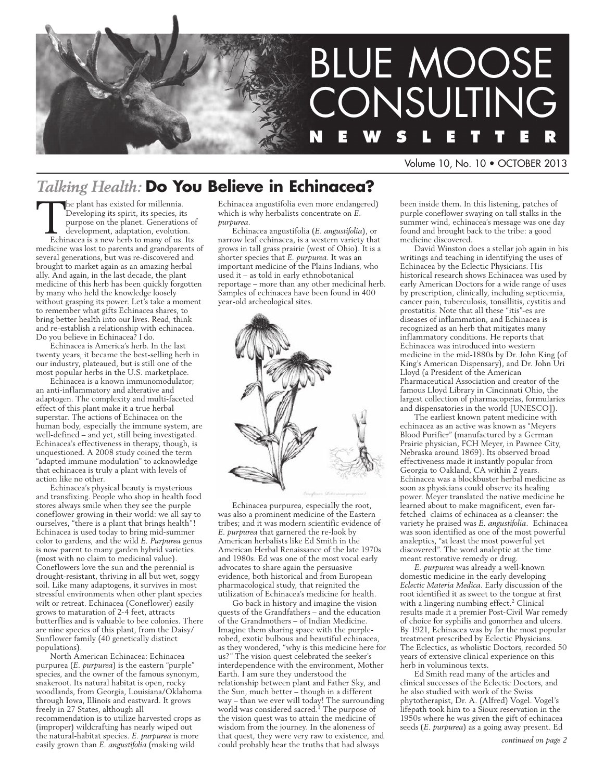

Volume 10, No. 10 • OCTOBER 2013

## *Talking Health:* **Do You Believe in Echinacea?**

the plant has existed for millennia. Developing its spirit, its species, its purpose on the planet. Generations of development, adaptation, evolution. Echinacea is a new herb to many of us. Its medicine was lost to parents and grandparents of several generations, but was re-discovered and brought to market again as an amazing herbal ally. And again, in the last decade, the plant medicine of this herb has been quickly forgotten by many who held the knowledge loosely without grasping its power. Let's take a moment to remember what gifts Echinacea shares, to bring better health into our lives. Read, think and re-establish a relationship with echinacea. Do you believe in Echinacea? I do.

Echinacea is America's herb. In the last twenty years, it became the best-selling herb in our industry, plateaued, but is still one of the most popular herbs in the U.S. marketplace.

Echinacea is a known immunomodulator; an anti-inflammatory and alterative and adaptogen. The complexity and multi-faceted effect of this plant make it a true herbal superstar. The actions of Echinacea on the human body, especially the immune system, are well-defined – and yet, still being investigated. Echinacea's effectiveness in therapy, though, is unquestioned. A 2008 study coined the term "adapted immune modulation" to acknowledge that echinacea is truly a plant with levels of action like no other.

Echinacea's physical beauty is mysterious and transfixing. People who shop in health food stores always smile when they see the purple coneflower growing in their world: we all say to ourselves, "there is a plant that brings health"! Echinacea is used today to bring mid-summer color to gardens, and the wild *E. Purpurea* genus is now parent to many garden hybrid varieties (most with no claim to medicinal value). Coneflowers love the sun and the perennial is drought-resistant, thriving in all but wet, soggy soil. Like many adaptogens, it survives in most stressful environments when other plant species wilt or retreat. Echinacea (Coneflower) easily grows to maturation of 2-4 feet, attracts butterflies and is valuable to bee colonies. There are nine species of this plant, from the Daisy/ Sunflower family (40 genetically distinct populations).

North American Echinacea: Echinacea purpurea (*E. purpurea*) is the eastern "purple" species, and the owner of the famous synonym, snakeroot. Its natural habitat is open, rocky woodlands, from Georgia, Louisiana/Oklahoma through Iowa, Illinois and eastward. It grows freely in 27 States, although all recommendation is to utilize harvested crops as (improper) wildcrafting has nearly wiped out the natural-habitat species. *E. purpurea* is more easily grown than *E. angustifolia* (making wild

Echinacea angustifolia even more endangered) which is why herbalists concentrate on *E. purpurea.*

Echinacea angustifolia (*E. angustifolia*), or narrow leaf echinacea, is a western variety that grows in tall grass prairie (west of Ohio). It is a shorter species that *E. purpurea*. It was an important medicine of the Plains Indians, who used it – as told in early ethnobotanical reportage – more than any other medicinal herb. Samples of echinacea have been found in 400 year-old archeological sites.



Echinacea purpurea, especially the root, was also a prominent medicine of the Eastern tribes; and it was modern scientific evidence of *E. purpurea* that garnered the re-look by American herbalists like Ed Smith in the American Herbal Renaissance of the late 1970s and 1980s. Ed was one of the most vocal early advocates to share again the persuasive evidence, both historical and from European pharmacological study, that reignited the utilization of Echinacea's medicine for health.

Go back in history and imagine the vision quests of the Grandfathers – and the education of the Grandmothers – of Indian Medicine. Imagine them sharing space with the purplerobed, exotic bulbous and beautiful echinacea, as they wondered, "why is this medicine here for us?" The vision quest celebrated the seeker's interdependence with the environment, Mother Earth. I am sure they understood the relationship between plant and Father Sky, and the Sun, much better – though in a different way – than we ever will today! The surrounding world was considered sacred.<sup>1</sup> The purpose of the vision quest was to attain the medicine of wisdom from the journey. In the aloneness of that quest, they were very raw to existence, and could probably hear the truths that had always

been inside them. In this listening, patches of purple coneflower swaying on tall stalks in the summer wind, echinacea's message was one day found and brought back to the tribe: a good medicine discovered.

David Winston does a stellar job again in his writings and teaching in identifying the uses of Echinacea by the Eclectic Physicians. His historical research shows Echinacea was used by early American Doctors for a wide range of uses by prescription, clinically, including septicemia, cancer pain, tuberculosis, tonsillitis, cystitis and prostatitis. Note that all these "itis"-es are diseases of inflammation, and Echinacea is recognized as an herb that mitigates many inflammatory conditions. He reports that Echinacea was introduced into western medicine in the mid-1880s by Dr. John King (of King's American Dispensary), and Dr. John Uri Lloyd (a President of the American Pharmaceutical Association and creator of the famous Lloyd Library in Cincinnati Ohio, the largest collection of pharmacopeias, formularies and dispensatories in the world [UNESCO]).

The earliest known patent medicine with echinacea as an active was known as "Meyers Blood Purifier" (manufactured by a German Prairie physician, FCH Meyer, in Pawnee City, Nebraska around 1869). Its observed broad effectiveness made it instantly popular from Georgia to Oakland, CA within 2 years. Echinacea was a blockbuster herbal medicine as soon as physicians could observe its healing power. Meyer translated the native medicine he learned about to make magnificent, even farfetched claims of echinacea as a cleanser: the variety he praised was *E. angustifolia.* Echinacea was soon identified as one of the most powerful analeptics, "at least the most powerful yet discovered". The word analeptic at the time meant restorative remedy or drug.

*E. purpurea* was already a well-known domestic medicine in the early developing *Eclectic Materia Medica*. Early discussion of the root identified it as sweet to the tongue at first with a lingering numbing effect.<sup>2</sup> Clinical results made it a premier Post-Civil War remedy of choice for syphilis and gonorrhea and ulcers. By 1921, Echinacea was by far the most popular treatment prescribed by Eclectic Physicians. The Eclectics, as wholistic Doctors, recorded 50 years of extensive clinical experience on this herb in voluminous texts.

Ed Smith read many of the articles and clinical successes of the Eclectic Doctors, and he also studied with work of the Swiss phytotherapist, Dr. A. (Alfred) Vogel. Vogel's lifepath took him to a Sioux reservation in the 1950s where he was given the gift of echinacea seeds (*E. purpurea*) as a going away present. Ed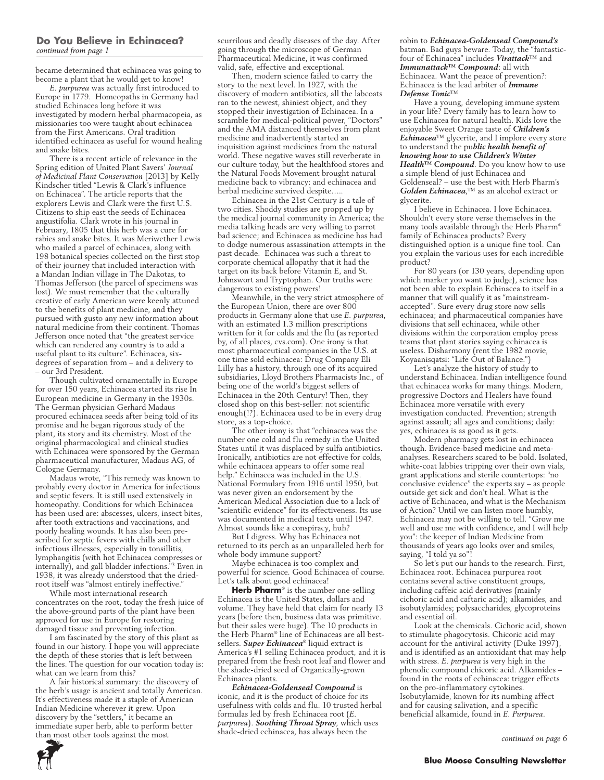#### **Do You Believe in Echinacea?** *continued from page 1*

became determined that echinacea was going to become a plant that he would get to know!

*E. purpurea* was actually first introduced to Europe in 1779. Homeopaths in Germany had studied Echinacea long before it was investigated by modern herbal pharmacopeia, as missionaries too were taught about echinacea from the First Americans. Oral tradition identified echinacea as useful for wound healing and snake bites.

There is a recent article of relevance in the Spring edition of United Plant Savers' *Journal of Medicinal Plant Conservation* [2013] by Kelly Kindscher titled "Lewis & Clark's influence on Echinacea". The article reports that the explorers Lewis and Clark were the first U.S. Citizens to ship east the seeds of Echinacea angustifolia. Clark wrote in his journal in February, 1805 that this herb was a cure for rabies and snake bites. It was Meriwether Lewis who mailed a parcel of echinacea, along with 198 botanical species collected on the first stop of their journey that included interaction with a Mandan Indian village in The Dakotas, to Thomas Jefferson (the parcel of specimens was lost). We must remember that the culturally creative of early American were keenly attuned to the benefits of plant medicine, and they pursued with gusto any new information about natural medicine from their continent. Thomas Jefferson once noted that "the greatest service which can rendered any country is to add a useful plant to its culture". Echinacea, sixdegrees of separation from – and a delivery to – our 3rd President.

Though cultivated ornamentally in Europe for over 150 years, Echinacea started its rise In European medicine in Germany in the 1930s. The German physician Gerhard Madaus procured echinacea seeds after being told of its promise and he began rigorous study of the plant, its story and its chemistry. Most of the original pharmacological and clinical studies with Echinacea were sponsored by the German pharmaceutical manufacturer, Madaus AG, of Cologne Germany.

Madaus wrote, "This remedy was known to probably every doctor in America for infectious and septic fevers. It is still used extensively in homeopathy. Conditions for which Echinacea has been used are: abscesses, ulcers, insect bites, after tooth extractions and vaccinations, and poorly healing wounds. It has also been prescribed for septic fevers with chills and other infectious illnesses, especially in tonsillitis, lymphangitis (with hot Echinacea compresses or internally), and gall bladder infections."3 Even in 1938, it was already understood that the driedroot itself was "almost entirely ineffective."

While most international research concentrates on the root, today the fresh juice of the above-ground parts of the plant have been approved for use in Europe for restoring damaged tissue and preventing infection.

I am fascinated by the story of this plant as found in our history. I hope you will appreciate the depth of these stories that is left between the lines. The question for our vocation today is: what can we learn from this?

A fair historical summary: the discovery of the herb's usage is ancient and totally American. It's effectiveness made it a staple of American Indian Medicine wherever it grew. Upon discovery by the "settlers," it became an immediate super herb, able to perform better than most other tools against the most

scurrilous and deadly diseases of the day. After going through the microscope of German Pharmaceutical Medicine, it was confirmed valid, safe, effective and exceptional.

Then, modern science failed to carry the story to the next level. In 1927, with the discovery of modern antibiotics, all the labcoats ran to the newest, shiniest object, and they stopped their investigation of Echinacea. In a scramble for medical-political power, "Doctors" and the AMA distanced themselves from plant medicine and inadvertently started an inquisition against medicines from the natural world. These negative waves still reverberate in our culture today, but the healthfood stores and the Natural Foods Movement brought natural medicine back to vibrancy: and echinacea and herbal medicine survived despite…..

Echinacea in the 21st Century is a tale of two cities. Shoddy studies are propped up by the medical journal community in America; the media talking heads are very willing to parrot bad science; and Echinacea as medicine has had to dodge numerous assassination attempts in the past decade. Echinacea was such a threat to corporate chemical allopathy that it had the target on its back before Vitamin E, and St. Johnswort and Tryptophan. Our truths were dangerous to existing powers!

Meanwhile, in the very strict atmosphere of the European Union, there are over 800 products in Germany alone that use *E. purpurea*, with an estimated 1.3 million prescriptions written for it for colds and the flu (as reported by, of all places, cvs.com). One irony is that most pharmaceutical companies in the U.S. at one time sold echinacea: Drug Company Eli Lilly has a history, through one of its acquired subsidiaries, Lloyd Brothers Pharmacists Inc., of being one of the world's biggest sellers of Echinacea in the 20th Century! Then, they closed shop on this best-seller: not scientific enough(!?). Echinacea used to be in every drug store, as a top-choice.

The other irony is that "echinacea was the number one cold and flu remedy in the United States until it was displaced by sulfa antibiotics. Ironically, antibiotics are not effective for colds, while echinacea appears to offer some real help." Echinacea was included in the U.S. National Formulary from 1916 until 1950, but was never given an endorsement by the American Medical Association due to a lack of "scientific evidence" for its effectiveness. Its use was documented in medical texts until 1947. Almost sounds like a conspiracy, huh?

But I digress. Why has Echinacea not returned to its perch as an unparalleled herb for whole body immune support?

Maybe echinacea is too complex and powerful for science. Good Echinacea of course. Let's talk about good echinacea!

**Herb Pharm**® is the number one-selling Echinacea is the United States, dollars and volume. They have held that claim for nearly 13 years (before then, business data was primitive. but their sales were huge). The 10 products in the Herb Pharm® line of Echinaceas are all bestsellers. *Super Echinacea*® liquid extract is America's #1 selling Echinacea product, and it is prepared from the fresh root leaf and flower and the shade-dried seed of Organically-grown Echinacea plants.

*Echinacea-Goldenseal Compound* is iconic, and it is the product of choice for its usefulness with colds and flu. 10 trusted herbal formulas led by fresh Echinacea root (*E. purpurea*). *Soothing Throat Spray*, which uses shade-dried echinacea, has always been the

robin to *Echinacea-Goldenseal Compound's* batman. Bad guys beware. Today, the "fantasticfour of Echinacea" includes *Virattack*™ and *Immunattack™ Compound*: all with Echinacea. Want the peace of prevention?: Echinacea is the lead arbiter of *Immune Defense Tonic*™

Have a young, developing immune system in your life? Every family has to learn how to use Echinacea for natural health. Kids love the enjoyable Sweet Orange taste of *Children's Echinacea*™ glycerite, and I implore every store to understand the pu*blic health benefit of knowing how to use Children's Winter Health™ Compound*. Do you know how to use a simple blend of just Echinacea and Goldenseal? – use the best with Herb Pharm's *Golden Echinacea*,™ as an alcohol extract or glycerite.

I believe in Echinacea. I love Echinacea. Shouldn't every store verse themselves in the many tools available through the Herb Pharm® family of Echinacea products? Every distinguished option is a unique fine tool. Can you explain the various uses for each incredible product?

For 80 years (or 130 years, depending upon which marker you want to judge), science has not been able to explain Echinacea to itself in a manner that will qualify it as "mainstreamaccepted". Sure every drug store now sells echinacea; and pharmaceutical companies have divisions that sell echinacea, while other divisions within the corporation employ press teams that plant stories saying echinacea is useless. Disharmony (rent the 1982 movie, Koyaanisqatsi: "Life Out of Balance.")

Let's analyze the history of study to understand Echinacea. Indian intelligence found that echinacea works for many things. Modern, progressive Doctors and Healers have found Echinacea more versatile with every investigation conducted. Prevention; strength against assault; all ages and conditions; daily: yes, echinacea is as good as it gets.

Modern pharmacy gets lost in echinacea though. Evidence-based medicine and metaanalyses. Researchers scared to be bold. Isolated, white-coat labbies tripping over their own vials, grant applications and sterile countertops: "no conclusive evidence" the experts say – as people outside get sick and don't heal. What is the active of Echinacea, and what is the Mechanism of Action? Until we can listen more humbly, Echinacea may not be willing to tell. "Grow me well and use me with confidence, and I will help you": the keeper of Indian Medicine from thousands of years ago looks over and smiles, saying, "I told ya so"!

So let's put our hands to the research. First, Echinacea root. Echinacea purpurea root contains several active constituent groups, including caffeic acid derivatives (mainly cichoric acid and caftaric acid); alkamides, and isobutylamides; polysaccharides, glycoproteins and essential oil.

Look at the chemicals. Cichoric acid, shown to stimulate phagocytosis. Chicoric acid may account for the antiviral activity (Duke 1997) and is identified as an antioxidant that may help with stress. *E. purpurea* is very high in the phenolic compound chicoric acid. Alkamides – found in the roots of echinacea: trigger effects on the pro-inflammatory cytokines. Isobutylamide, known for its numbing affect and for causing salivation, and a specific beneficial alkamide, found in *E. Purpurea*.

*continued on page 6*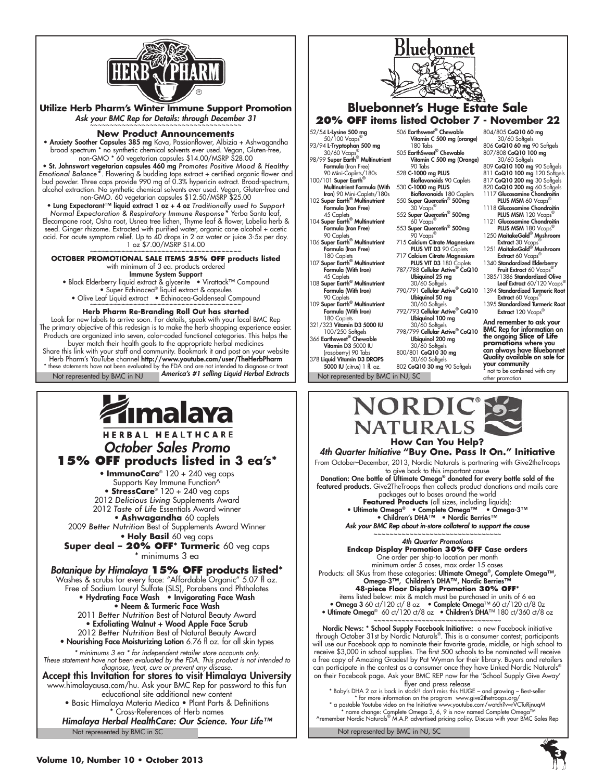

**Utilize Herb Pharm's Winter Immune Support Promotion** Ask your BMC Rep for Details: through December 31

#### **New Product Announcements**

• Anxiety Soother Capsules 385 mg Kava, Passionflower, Albizia + Ashwagandha broad spectrum \* no synthetic chemical solvents ever used. Vegan, Gluten-free, non-GMO \* 60 vegetarian capsules \$14.00/MSRP \$28.00

• St. Johnswort vegetarian capsules 460 mg *Promotes Positive Mood & Healthy Emotional Balance\**. Flowering & budding tops extract + certified organic flower and bud powder. Three caps provide 990 mg of 0.3% hypericin extract. Broad-spectrum, alcohol extraction. No synthetic chemical solvents ever used. Vegan, Gluten-free and non-GMO. 60 vegetarian capsules \$12.50/MSRP \$25.00

• Lung Expectorant™ liquid extract 1 oz + 4 oz *Traditionally used to Support Normal Expectoration & Respiratory Immune Response\** Yerba Santa leaf, Elecampane root, Osha root, Usnea tree lichen, Thyme leaf & flower, Lobelia herb & seed. Ginger rhizome. Extracted with purified water, organic cane alcohol + acetic acid. For acute symptom relief. Up to 40 drops in 2 oz water or juice 3-5x per day.  $1$  oz  $$7.00/M$ SRP  $$14.00$ 

**OCTOBER PROMOTIONAL SALE ITEMS 25% OFF products listed** with minimum of 3 ea. products ordered

Immune System Support

• Black Elderberry liquid extract & glycerite • Virattack™ Compound • Super Echinacea® liquid extract & capsules

• Olive Leaf Liquid extract • Echinacea-Goldenseal Compound

#### **Herb Pharm Re-Branding Roll Out has started**

Not represented by BMC in NJ **America's #1 selling Liquid Herbal Extracts** Not represented by BMC in NJ, SC Look for new labels to arrive soon. For details, speak with your local BMC Rep The primary objective of this redesign is to make the herb shopping experience easier. Products are organized into seven, color-coded functional categories. This helps the buyer match their health goals to the appropriate herbal medicines Share this link with your staff and community. Bookmark it and post on your website Herb Pharm's YouTube channel **http://www.youtube.com/user/TheHerbPharm**<br>\* these statements have not been evaluated by the FDA and are not intended to diagnose or treat  *America's #1 selling Liquid Herbal Extracts*

## ímalaya

HERBAL HEALTHCARE *October Sales Promo* **15% OFF products listed in 3 ea's\*** • **ImmunoCare**® 120 + 240 veg caps Supports Key Immune Function^ • **StressCare**® 120 + 240 veg caps 2012 *Delicious Living* Supplements Award 2012 *Taste of Life* Essentials Award winner • **Ashwagandha** 60 caplets 2009 *Better Nutrition* Best of Supplements Award Winner • **Holy Basil** 60 veg caps **Super deal – 20% OFF\* Turmeric** 60 veg caps \* minimums 3 ea *Botanique by Himalaya* **15% OFF products listed\*** Washes & scrubs for every face: "Affordable Organic" 5.07 fl oz. Free of Sodium Lauryl Sulfate (SLS), Parabens and Phthalates • Hydrating Face Wash • Invigorating Face Wash • Neem & Turmeric Face Wash 2011 *Better Nutrition* Best of Natural Beauty Award • Exfoliating Walnut + Wood Apple Face Scrub 2012 *Better Nutrition* Best of Natural Beauty Award • Nourishing Face Moisturizing Lotion 6.76 fl oz. for all skin types *\* minimums 3 ea \* for independent retailer store accounts only. These statement have not been evaluated by the FDA. This product is not intended to diagnose, treat, cure or prevent any disease.* Accept this Invitation for stores to visit Himalaya University www.himalayausa.com/hu. Ask your BMC Rep for password to this fun educational site additional new content • Basic Himalaya Materia Medica • Plant Parts & Definitions Cross-References of Herb names *Himalaya Herbal HealthCare: Our Science. Your Life™*Not represented by BMC in SC



#### **Bluebonnet's Huge Estate Sale 20% OFF items listed October 7 - November 22**

52/54 **L-Lysine 500 mg**<br>50/100 Vcaps®

93/94 L-Tryptophan 500 mg 30/60 Vcaps® 98/99 Super Earth® Multinutrient Formula (Iron Free) 90 Mini-Caplets/180s 100/101 Super Earth®

Multinutrient Formula (With 530 C-1000 mg PLUS **Iron**) 90 Mini-Caplets/180s<br>102 **Super Earth<sup>®</sup> Multinutrient** Formula (Iron Free)

45 Caplets 104 Super Earth<sup>®</sup> Multinutrient Formula (Iron Free) 90 Caplets

106 Super Earth<sup>®</sup> Multinutrient Formula (Iron Free)

180 Caplets<br>107 Super Earth® Multinutrient Formula (With Iron) 45 Caplets

108 Super Earth<sup>®</sup> Multinutrient Formula (With Iron)

90 Caplets 109 Super Earth<sup>®</sup> Multinutrient Formula (With Iron)

180 Caplets 321/323 Vitamin D3 5000 IU

100/250 Softgels<br>366 **Earthsweet® Chewable** Vitamin D3 5000 IU

raspberry) 90 Tabs)<br>378 **Liquid Vitamin D3 DROPS** 

5000 IU (citrus) 1 fl. oz.

506 Earthsweet® Chewable Vitamin C 500 mg (orange) 180 Tabs

505 EarthSweet® Chewable Vitamin C 500 mg (Orange) 90 Tabs

528 C-1000 mg PLUS Bioflavonoids 90 Caplets

Bioflavonoids 180 Caplets<br>550 Super Quercetin® 500mg 30 Vcaps®

552 Super Quercetin® 500mg 60 Vcaps®

- 553 Super Quercetin® 500mg
- 90 Vcaps® 715 Calcium Citrate Magnesium PLUS VIT D3 90 Caplets
- 717 Calcium Citrate Magnesium PLUS VIT D3 180 Caplets
- 787/788 Cellular Active® CoQ10
- **Ubiquinol 25 mg**<br>30/60 Softgels
- 790/791 Cellular Active® CoQ10
- **Ubiquinol 50 mg**<br>30/60 Softgels 792/793 Cellular Active® CoQ10

**Ubiquinol 100 mg**<br>30/60 Softgels

798/799 Cellular Active® CoQ10 **Ubiquinol 200 mg**<br>30/60 Softgels

800/801 CoQ10 30 mg 30/60 Softaels

802 CoQ10 30 mg 90 Softgels

the ongoing **Slice of Life<br><b>promotion**s where you<br>can always have Bluebonnet<br>Quality available on sale for

**your community**<br>\* not to be combined with any other promotion

804/805 **CoQ10 60 mg**<br>30/60 Softgels<br>806 **CoQ10 60 mg** 90 Softgels<br>807/808 **CoQ10 100 mg**<br>30/60 Softgels 809 CoQ10 100 mg 90 Softgels 811 CoQ10 100 mg 120 Softgels 817 CoQ10 200 mg 30 Softgels 820 **CoQ10 200 mg** 60 Softgels<br>1117 **Glucosamine Chondroitin**<br>**PLUS MSM** 60 Vcaps® 1118 Glucosamine Chondroitin PLUS MSM 120 Vcaps® 1121 Glucosamine Chondroitin PLUS MSM 180 Vcaps® 1250 MaitakeGold<sup>®</sup> Mushroom Extract 30 Vcaps 1251 MaitakeGold® Mushroom Extract 60 Vcaps 1340 Standardized Elderberry Fruit Extract 60 Vcaps 1385/1386 Standardized Olive Leaf Extract 60/120 Vcaps 1394 Standardized Turmeric Root Extract 60 Vcaps® 1395 Standardized Turmeric Root Extract 120 Vcaps® And remember to ask your BMC Rep for information on





From October–December, 2013, Nordic Naturals is partnering with Give2theTroops

to give back to this important cause Donation: One bottle of Ultimate Omega® donated for every bottle sold of the **featured products.** Give2TheTroops then collects product donations and mails care

packages out to bases around the world **Featured Products** (all sizes, including liquids):<br>imate Omega® ● Complete Omega™ ● Omega-3™

• Ultimate Omega® • Complete Omega™ • Omega-3™ • Children's DHA™ • Nordic Berries™ *Ask your BMC Rep about in-store collateral to support the cause*

#### ~~~~~~~~~~~~~~~~~~~~~~~~~~~~ *4th Quarter Promotions*

**Endcap Display Promotion 30% Off Case orders** One order per ship-to location per month

minimum order 5 cases, max order 15 cases<br>Products: all SKus from these categories: **Ultimate Omega®, Complete Omega™,<br>Omega-3™, Children's DHA™, Nordic Berries™** 

**48-piece Floor Display Promotion 30% OFF\***

items listed below: mix & match must be purchased in units of 6 ea • Omega 3 60 ct/120 ct/ 8 oz • Complete Omega™ 60 ct/120 ct/8 0z • Ultimate Omega® 60 ct/120 ct/8 oz • Children's DHA™ 180 ct/360 ct/8 oz

~~~~~~~~~~~~~~~~~~~~~~~~~~~~ Nordic News: \* School Supply Facebook Initiative: a new Facebook initiative through October 31st by Nordic Naturals®. This is a consumer contest; participants will use our Facebook app to nominate their favorite grade, middle, or high school to

receive \$3,000 in school supplies. The first 500 schools to be nominated will receive a free copy of Amazing Grades! by Pat Wyman for their library. Buyers and retailers<br>can participate in the contest as a consumer once they have Linked Nordic Naturals® on their Facebook page. Ask your BMC REP now for the 'School Supply Give Away' flyer and press release

\* Baby's DHA 2 oz is back in stock!! don't miss this HUGE – and growing – Best-seller \* for more information on the program www.give2thetroops.org/ \* a postable Youtube video on the Initiative www.youtube.com/watch?v=rVCTuRjnuqM

\* name change: Complete Omega 3, 6, 9 is now named Complete Omega™ ^remember Nordic Naturals® M.A.P. advertised pricing policy. Discuss with your BMC Sales Rep

Not represented by BMC in NJ, SC



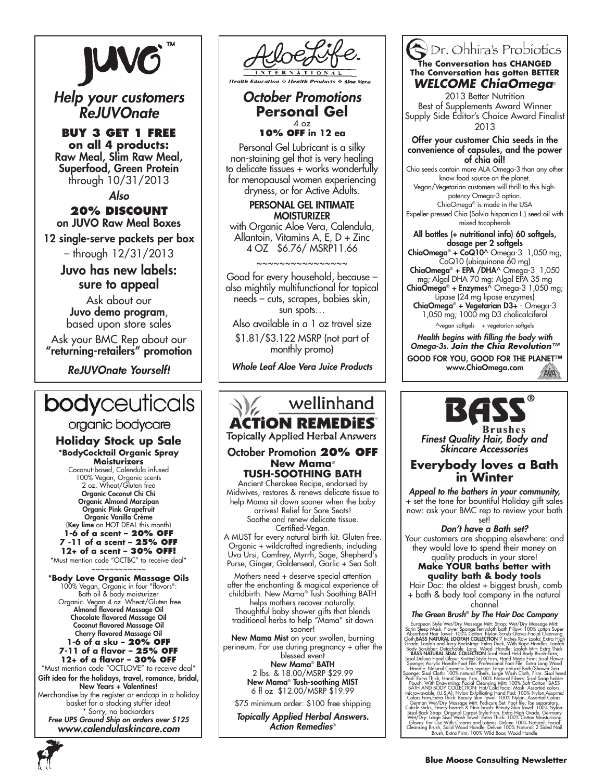# **JUV6**

*Help your customers ReJUVOnate*

**Buy 3 Get 1 Free on all 4 products:** Raw Meal, Slim Raw Meal, Superfood, Green Protein through 10/31/2013

*Also* **20% Discount**  on JUVO Raw Meal Boxes

12 single-serve packets per box

– through 12/31/2013

Juvo has new labels: sure to appeal

Ask about our Juvo demo program, based upon store sales

Ask your BMC Rep about our "returning-retailers" promotion

*ReJUVOnate Yourself!*

## **body**ceuticals

## organic bodycare

**Holiday Stock up Sale \*BodyCocktail Organic Spray Moisturizers**

Coconut-based, Calendula infused 100% Vegan, Organic scents 2 oz. Wheat/Gluten free Organic Coconut Chi Chi Organic Almond Marzipan Organic Pink Grapefruit Organic Vanilla Crème (Key lime on HOT DEAL this month) **1-6 of a scent – 20% off 7 -11 of a scent – 25% off 12+ of a scent – 30% off!**

\*Must mention code "OCTBC" to receive deal\* ~~~~~~~~~~~~

**\*Body Love Organic Massage Oils**  100% Vegan, Organic in four "flavors": Bath oil & body moisturizer Organic. Vegan 4 oz. Wheat/Gluten free Almond flavored Massage Oil Chocolate flavored Massage Oil Coconut flavored Massage Oil Cherry flavored Massage Oil **1-6 of a sku – 20% off 7-11 of a flavor – 25% off 12+ of a flavor – 30% off** \*Must mention code "OCTLOVE" to receive deal\* Gift idea for the holidays, travel, romance, bridal, New Years + Valentines! Merchandise by the register or endcap in a holiday basket for a stocking stuffer idea!

\* Sorry, no backorders *Free UPS Ground Ship on orders over \$125 www.calendulaskincare.com*

**S** Health Products

#### *October Promotions* **Personal Gel**  4 oz **10% OFF in 12 ea**

Personal Gel Lubricant is a silky non-staining gel that is very healing to delicate tissues + works wonderfully for menopausal women experiencing dryness, or for Active Adults.

> PERSONAL GEL INTIMATE **MOISTURIZER**

with Organic Aloe Vera, Calendula, Allantoin, Vitamins A, E, D + Zinc 4 OZ \$6.76/ MSRP11.66

## ~~~~~~~~~~~~~~~~

Good for every household, because – also mightily multifunctional for topical needs – cuts, scrapes, babies skin, sun spots…

Also available in a 1 oz travel size \$1.81/\$3.122 MSRP (not part of monthly promo)

*Whole Leaf Aloe Vera Juice Products*

## wellinhand **ACTION REMEDI**

**Topically Applied Herbal Answers** 

#### October Promotion **20% OFF New Mama**® **TUSH-SOOTHING BATH**

Ancient Cherokee Recipe, endorsed by Midwives, restores & renews delicate tissue to help Mama sit down sooner when the baby arrives! Relief for Sore Seats! Soothe and renew delicate tissue. Certified-Vegan.

A MUST for every natural birth kit. Gluten free. Organic + wildcrafted ingredients, including Uva Ursi, Comfrey, Myrrh, Sage, Shepherd's Purse, Ginger, Goldenseal, Garlic + Sea Salt.

Mothers need + deserve special attention after the enchanting & magical experience of childbirth. New Mama® Tush Soothing BATH

helps mothers recover naturally. Thoughtful baby shower gifts that blends traditional herbs to help "Mama" sit down sooner!

New Mama Mist on your swollen, burning perineum. For use during pregnancy + after the blessed event

New Mama® BATH 2 lbs. & 18.00/MSRP \$29.99 New Mama® Tush-soothing MIST 6 fl oz \$12.00/MSRP \$19.99

\$75 minimum order: \$100 free shipping

*Topically Applied Herbal Answers. Action Remedies*®

#### Dr. Ohhira's Probiotics **The Conversation has CHANGED The Conversation has gotten BETTER** *WELCOME ChiaOmega*®

2013 Better Nutrition Best of Supplements Award Winner Supply Side Editor's Choice Award Finalist 2013

#### Offer your customer Chia seeds in the convenience of capsules, and the power of chia oil!

Chia seeds contain more ALA Omega-3 than any other know food source on the planet. Vegan/Vegetarian customers will thrill to this highpotency Omega-3 option. ChiaOmega® is made in the USA

Expeller-pressed Chia (Salvia hispanica L.) seed oil with mixed tocopherols

#### All bottles (+ nutritional info) 60 softgels, dosage per 2 softgels

**ChiaOmega® + CoQ10^** Omega-3 1,050 mg; CoQ10 (ubiquinone 60 mg)

ChiaOmega® + EPA /DHA^ Omega-3 1,050 mg; Algal DHA 70 mg: Algal EPA 35 mg

ChiaOmega® + Enzymes^ Omega-3 1,050 mg; Lipase (24 mg lipase enzymes)

ChiaOmega® + Vegetarian D3+ - Omega-3 1,050 mg; 1000 mg D3 cholicalciferol \vegan softgels + vegetarian softgels\

*Health begins with filling the body with Omega-3s. Join the Chia Revolution™* GOOD FOR YOU, GOOD FOR THE PLANET™ www.ChiaOmega.com AVA



*Finest Quality Hair, Body and Skincare Accessories*

## **Everybody loves a Bath in Winter**

*Appeal to the bathers in your community,*  + set the tone for bountiful Holiday gift sales now: ask your BMC rep to review your bath set!

*Don't have a Bath set?* 

Your customers are shopping elsewhere: and they would love to spend their money on

#### quality products in your store! **Make YOUR baths better with quality bath & body tools**

 Hair Doc: the oldest + biggest brush, comb + bath & body tool company in the natural

channel<br>The Green Brush® by The Hair Doc Company

#### *The Green Brush® by The Hair Doc Company*

European Syle Wel/Dry Massage Mit: Strop: Wel/Dry Massage Mit: Strop: Norsky Content Rein Could: Color Color Color (Cloridation Color Color Color Color Color Color Color Color Color Color Color Color Color Color Color Colo

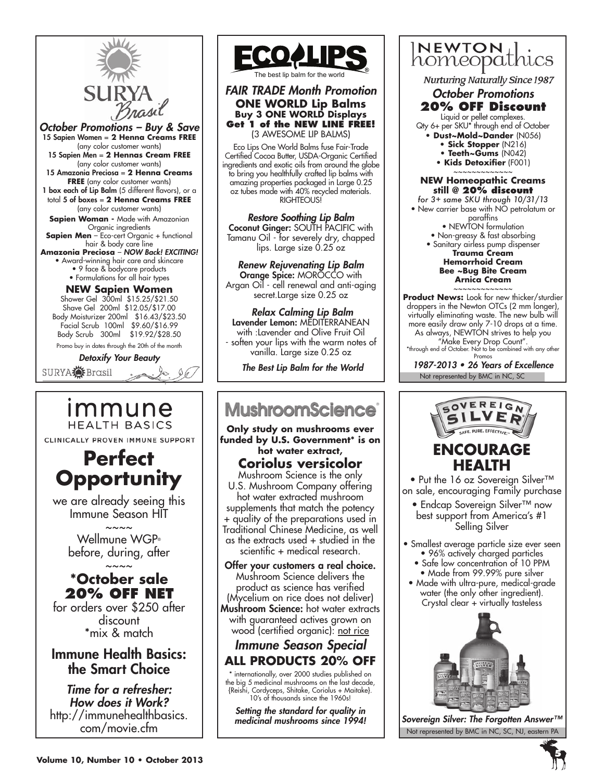

*October Promotions – Buy & Save* 15 Sapien Women = **2 Henna Creams free** (any color customer wants) 15 Sapien Men = **2 Hennas Cream free** (any color customer wants) 15 Amazonia Preciosa = **2 Henna Creams FREE** (any color customer wants) 1 box each of Lip Balm (5 different flavors), or a total 5 of boxes = **2 Henna Creams free** (any color customer wants) **Sapien Woman - Made with Amazonian** Organic ingredients **Sapien Men** - Eco-cert Organic + functional hair & body care line **Amazonia Preciosa** – *NOW Back! EXCITING!* • Award-winning hair care and skincare • 9 face & bodycare products

• Formulations for all hair types

#### **NEW Sapien Women** Shower Gel 300ml \$15.25/\$21.50 Shave Gel 200ml \$12.05/\$17.00 Body Moisturizer 200ml \$16.43/\$23.50 Facial Scrub 100ml \$9.60/\$16.99 Body Scrub 300ml \$19.92/\$28.50

Promo buy in dates through the 20th of the month

*Detoxify Your Beauty*

SURYA**O** Brasil

## immune **HEALTH BASICS**

CLINICALLY PROVEN IMMUNE SUPPORT



we are already seeing this Immune Season HIT  $\sim\sim\sim\sim$ 

Wellmune WGP® before, during, after

## $\sim\sim\sim\sim$ **\*October sale 20% OFF NET**

for orders over \$250 after discount \*mix & match

## Immune Health Basics: the Smart Choice

*Time for a refresher: How does it Work?* http://immunehealthbasics. com/movie.cfm



The best lip balm for the world

*FAIR TRADE Month Promotion* **ONE WORLD Lip Balms Buy 3 ONE WORLD Displays Get 1 of the NEW LINE FREE!** (3 AWESOME LIP BALMS)

Eco Lips One World Balms fuse Fair-Trade Certified Cocoa Butter, USDA-Organic Certified ingredients and exotic oils from around the globe to bring you healthfully crafted lip balms with amazing properties packaged in Large 0.25 oz tubes made with 40% recycled materials. RIGHTEOUS!

*Restore Soothing Lip Balm*  Coconut Ginger: SOUTH PACIFIC with Tamanu Oil - for severely dry, chapped lips. Large size 0.25 oz

*Renew Rejuvenating Lip Balm*  Orange Spice: MOROCCO with Argan Oil - cell renewal and anti-aging secret.Large size 0.25 oz

*Relax Calming Lip Balm* Lavender Lemon: MEDITERRANEAN with :Lavender and Olive Fruit Oil soften your lips with the warm notes of vanilla. Large size 0.25 oz

*The Best Lip Balm for the World*

## **MushroomScience**

**Only study on mushrooms ever funded by U.S. Government\* is on hot water extract,** 

## **Coriolus versicolor**

Mushroom Science is the only U.S. Mushroom Company offering hot water extracted mushroom supplements that match the potency + quality of the preparations used in Traditional Chinese Medicine, as well as the extracts used + studied in the scientific + medical research.

Offer your customers a real choice. Mushroom Science delivers the product as science has verified (Mycelium on rice does not deliver)

Mushroom Science: hot water extracts with guaranteed actives grown on wood (certified organic): not rice

## *Immune Season Special* **ALL PRODUCTS 20% OFF**

\* internationally, over 2000 studies published on the big 5 medicinal mushrooms on the last decade, {Reishi, Cordyceps, Shitake, Coriolus + Maitake}. 10's of thousands since the 1960s!

*Setting the standard for quality in medicinal mushrooms since 1994!*



**Nurturing Naturally Since 1987** 

#### *October Promotions* **20% OFF Discount**

Liquid or pellet complexes. Qty 6+ per SKU\* through end of October

- **Dust~Mold~Dander** (N056)
	- **Sick Stopper** (N216)
	- **Teeth~Gums** (N042)
	- **Kids Detoxifier** (F001) ~~~~~~~~~~~~~

#### **NEW Homeopathic Creams still @ 20% discount**

*for 3+ same SKU through 10/31/13* • New carrier base with NO petrolatum or paraffins

- NEWTON formulation • Non-greasy & fast absorbing
- Sanitary airless pump dispenser **Trauma Cream**

**Hemorrhoid Cream Bee ~Bug Bite Cream Arnica Cream** ~~~~~~~~~~~~~

**Product News:** Look for new thicker/sturdier droppers in the Newton OTCs (2 mm longer), virtually eliminating waste. The new bulb will more easily draw only 7-10 drops at a time. As always, NEWTÓN strives to help you

"Make Every Drop Count". \*through end of October. Not to be combined with any other Promos

Not represented by BMC in NC, SC 1987-2013 • 26 Years of Excellence



## **ENCOURAGE HEALTH**

• Put the 16 oz Sovereign Silver<sup>™</sup> on sale, encouraging Family purchase

- Endcap Sovereign Silver™ now best support from America's #1 Selling Silver
- Smallest average particle size ever seen • 96% actively charged particles
	- Safe low concentration of 10 PPM
- Made from 99.99% pure silver • Made with ultra-pure, medical-grade water (the only other ingredient). Crystal clear + virtually tasteless



Not represented by BMC in NC, SC, NJ, eastern PA *Sovereign Silver: The Forgotten Answer™*

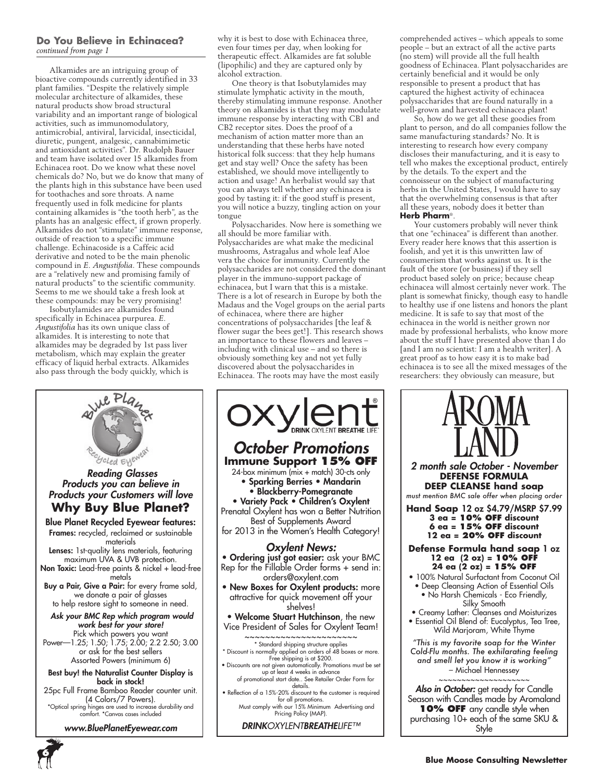#### **Do You Believe in Echinacea?** *continued from page 1*

Alkamides are an intriguing group of bioactive compounds currently identified in 33 plant families. "Despite the relatively simple molecular architecture of alkamides, these natural products show broad structural variability and an important range of biological activities, such as immunomodulatory, antimicrobial, antiviral, larvicidal, insecticidal, diuretic, pungent, analgesic, cannabimimetic and antioxidant activities". Dr. Rudolph Bauer and team have isolated over 15 alkamides from Echinacea root. Do we know what these novel chemicals do? No, but we do know that many of the plants high in this substance have been used for toothaches and sore throats. A name frequently used in folk medicine for plants containing alkamides is "the tooth herb", as the plants has an analgesic effect, if grown properly. Alkamides do not "stimulate" immune response, outside of reaction to a specific immune challenge. Echinacoside is a Caffeic acid derivative and noted to be the main phenolic compound in *E. Angustifolia*. These compounds are a "relatively new and promising family of natural products" to the scientific community. Seems to me we should take a fresh look at these compounds: may be very promising!

Isobutylamides are alkamides found specifically in Echinacea purpurea. *E. Angustifolia* has its own unique class of alkamides. It is interesting to note that alkamides may be degraded by 1st pass liver metabolism, which may explain the greater efficacy of liquid herbal extracts. Alkamides also pass through the body quickly, which is



\*Optical spring hinges are used to increase durability and comfort. \*Canvas cases included

*www.BluePlanetEyewear.com*

**6**



One theory is that Isobutylamides may stimulate lymphatic activity in the mouth, thereby stimulating immune response. Another theory on alkamides is that they may modulate immune response by interacting with CB1 and CB2 receptor sites. Does the proof of a mechanism of action matter more than an understanding that these herbs have noted historical folk success: that they help humans get and stay well? Once the safety has been established, we should move intelligently to action and usage! An herbalist would say that you can always tell whether any echinacea is good by tasting it: if the good stuff is present, you will notice a buzzy, tingling action on your tongue

Polysaccharides. Now here is something we all should be more familiar with. Polysaccharides are what make the medicinal mushrooms, Astragalus and whole leaf Aloe vera the choice for immunity. Currently the polysaccharides are not considered the dominant player in the immuno-support package of echinacea, but I warn that this is a mistake. There is a lot of research in Europe by both the Madaus and the Vogel groups on the aerial parts of echinacea, where there are higher concentrations of polysaccharides [the leaf & flower sugar the bees get!]. This research shows an importance to these flowers and leaves – including with clinical use – and so there is obviously something key and not yet fully discovered about the polysaccharides in Echinacea. The roots may have the most easily



comprehended actives – which appeals to some people – but an extract of all the active parts (no stem) will provide all the full health goodness of Echinacea. Plant polysaccharides are certainly beneficial and it would be only responsible to present a product that has captured the highest activity of echinacea polysaccharides that are found naturally in a well-grown and harvested echinacea plant!

So, how do we get all these goodies from plant to person, and do all companies follow the same manufacturing standards? No. It is interesting to research how every company discloses their manufacturing, and it is easy to tell who makes the exceptional product, entirely by the details. To the expert and the connoisseur on the subject of manufacturing herbs in the United States, I would have to say that the overwhelming consensus is that after all these years, nobody does it better than **Herb Pharm**®.

Your customers probably will never think that one "echinacea" is different than another. Every reader here knows that this assertion is foolish, and yet it is this unwritten law of consumerism that works against us. It is the fault of the store (or business) if they sell product based solely on price; because cheap echinacea will almost certainly never work. The plant is somewhat finicky, though easy to handle to healthy use if one listens and honors the plant medicine. It is safe to say that most of the echinacea in the world is neither grown nor made by professional herbalists, who know more about the stuff I have presented above than I do [and I am no scientist: I am a health writer]. A great proof as to how easy it is to make bad echinacea is to see all the mixed messages of the researchers: they obviously can measure, but

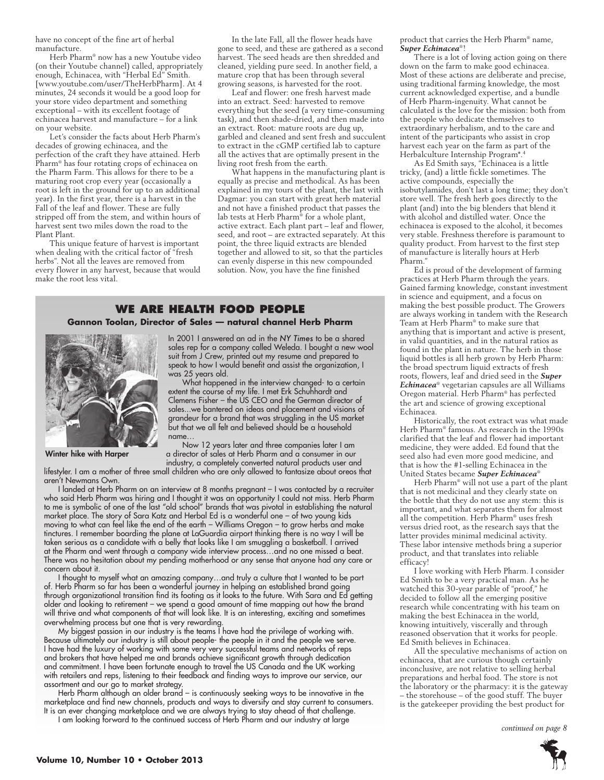have no concept of the fine art of herbal manufacture.

Herb Pharm® now has a new Youtube video (on their Youtube channel) called, appropriately enough, Echinacea, with "Herbal Ed" Smith. [www.youtube.com/user/TheHerbPharm]. At 4 minutes, 24 seconds it would be a good loop for your store video department and something exceptional – with its excellent footage of echinacea harvest and manufacture – for a link on your website.

Let's consider the facts about Herb Pharm's decades of growing echinacea, and the perfection of the craft they have attained. Herb Pharm® has four rotating crops of echinacea on the Pharm Farm. This allows for there to be a maturing root crop every year (occasionally a root is left in the ground for up to an additional year). In the first year, there is a harvest in the Fall of the leaf and flower. These are fully stripped off from the stem, and within hours of harvest sent two miles down the road to the Plant Plant.

This unique feature of harvest is important when dealing with the critical factor of "fresh herbs". Not all the leaves are removed from every flower in any harvest, because that would make the root less vital.

In the late Fall, all the flower heads have gone to seed, and these are gathered as a second harvest. The seed heads are then shredded and cleaned, yielding pure seed. In another field, a mature crop that has been through several growing seasons, is harvested for the root.

Leaf and flower: one fresh harvest made into an extract. Seed: harvested to remove everything but the seed (a very time-consuming task), and then shade-dried, and then made into an extract. Root: mature roots are dug up, garbled and cleaned and sent fresh and succulent to extract in the cGMP certified lab to capture all the actives that are optimally present in the living root fresh from the earth.

What happens in the manufacturing plant is equally as precise and methodical. As has been explained in my tours of the plant, the last with Dagmar: you can start with great herb material and not have a finished product that passes the lab tests at Herb Pharm® for a whole plant, active extract. Each plant part – leaf and flower, seed, and root – are extracted separately. At this point, the three liquid extracts are blended together and allowed to sit, so that the particles can evenly disperse in this new compounded solution. Now, you have the fine finished

#### **We are health food people Gannon Toolan, Director of Sales — natural channel Herb Pharm**



Winter hike with Harper

In 2001 I answered an ad in the *NY Times* to be a shared sales rep for a company called Weleda. I bought a new wool suit from J Crew, printed out my resume and prepared to speak to how I would benefit and assist the organization, I was 25 years old.

What happened in the interview changed- to a certain extent the course of my life. I met Erk Schuhhardt and Clemens Fisher – the ÚS CEO and the German director of sales...we bantered on ideas and placement and visions of grandeur for a brand that was struggling in the US market but that we all felt and believed should be a household name…

Now 12 years later and three companies later I am a director of sales at Herb Pharm and a consumer in our industry, a completely converted natural products user and

lifestyler. I am a mother of three small children who are only allowed to fantasize about oreos that aren't Newmans Own.

I landed at Herb Pharm on an interview at 8 months pregnant – I was contacted by a recruiter who said Herb Pharm was hiring and I thought it was an opportunity I could not miss. Herb Pharm to me is symbolic of one of the last "old school" brands that was pivotal in establishing the natural market place. The story of Sara Katz and Herbal Ed is a wonderful one – of two young kids moving to what can feel like the end of the earth – Williams Oregon – to grow herbs and make tinctures. I remember boarding the plane at LaGuardia airport thinking there is no way I will be taken serious as a candidate with a belly that looks like I am smuggling a basketball. I arrived at the Pharm and went through a company wide interview process…and no one missed a beat. There was no hesitation about my pending motherhood or any sense that anyone had any care or concern about it.

I thought to myself what an amazing company…and truly a culture that I wanted to be part of. Herb Pharm so far has been a wonderful journey in helping an established brand going through organizational transition find its footing as it looks to the future. With Sara and Ed getting older and looking to retirement – we spend a good amount of time mapping out how the brand will thrive and what components of that will look like. It is an interesting, exciting and sometimes overwhelming process but one that is very rewarding.

My biggest passion in our industry is the teams I have had the privilege of working with. Because ultimately our industry is still about people- the people in it and the people we serve. I have had the luxury of working with some very very successful teams and networks of reps and brokers that have helped me and brands achieve significant growth through dedication and commitment. I have been fortunate enough to travel the US Canada and the UK working with retailers and reps, listening to their feedback and finding ways to improve our service, our assortment and our go to market strategy.

Herb Pharm although an older brand – is continuously seeking ways to be innovative in the marketplace and find new channels, products and ways to diversify and stay current to consumers. It is an ever changing marketplace and we are always trying to stay ahead of that challenge.

I am looking forward to the continued success of Herb Pharm and our industry at large

product that carries the Herb Pharm® name, *Super Echinacea*®!

There is a lot of loving action going on there down on the farm to make good echinacea. Most of these actions are deliberate and precise, using traditional farming knowledge, the most current acknowledged expertise, and a bundle of Herb Pharm-ingenuity. What cannot be calculated is the love for the mission: both from the people who dedicate themselves to extraordinary herbalism, and to the care and intent of the participants who assist in crop harvest each year on the farm as part of the Herbalculture Internship Program\*.4

As Ed Smith says, "Echinacea is a little tricky, (and) a little fickle sometimes. The active compounds, especially the isobutylamides, don't last a long time; they don't store well. The fresh herb goes directly to the plant (and) into the big blenders that blend it with alcohol and distilled water. Once the echinacea is exposed to the alcohol, it becomes very stable. Freshness therefore is paramount to quality product. From harvest to the first step of manufacture is literally hours at Herb Pharm."

Ed is proud of the development of farming practices at Herb Pharm through the years. Gained farming knowledge, constant investment in science and equipment, and a focus on making the best possible product. The Growers are always working in tandem with the Research Team at Herb Pharm® to make sure that anything that is important and active is present, in valid quantities, and in the natural ratios as found in the plant in nature. The herb in those liquid bottles is all herb grown by Herb Pharm: the broad spectrum liquid extracts of fresh roots, flowers, leaf and dried seed in the *Super Echinacea*® vegetarian capsules are all Williams Oregon material. Herb Pharm® has perfected the art and science of growing exceptional Echinacea.

Historically, the root extract was what made Herb Pharm® famous. As research in the 1990s clarified that the leaf and flower had important medicine, they were added. Ed found that the seed also had even more good medicine, and that is how the #1-selling Echinacea in the United States became *Super Echinacea*®

Herb Pharm® will not use a part of the plant that is not medicinal and they clearly state on the bottle that they do not use any stem: this is important, and what separates them for almost all the competition. Herb Pharm® uses fresh versus dried root, as the research says that the latter provides minimal medicinal activity. These labor intensive methods bring a superior product, and that translates into reliable efficacy!

I love working with Herb Pharm. I consider Ed Smith to be a very practical man. As he watched this 30-year parable of "proof," he decided to follow all the emerging positive research while concentrating with his team on making the best Echinacea in the world, knowing intuitively, viscerally and through reasoned observation that it works for people. Ed Smith believes in Echinacea.

All the speculative mechanisms of action on echinacea, that are curious though certainly inconclusive, are not relative to selling herbal preparations and herbal food. The store is not the laboratory or the pharmacy: it is the gateway – the storehouse – of the good stuff. The buyer is the gatekeeper providing the best product for

*continued on page 8*